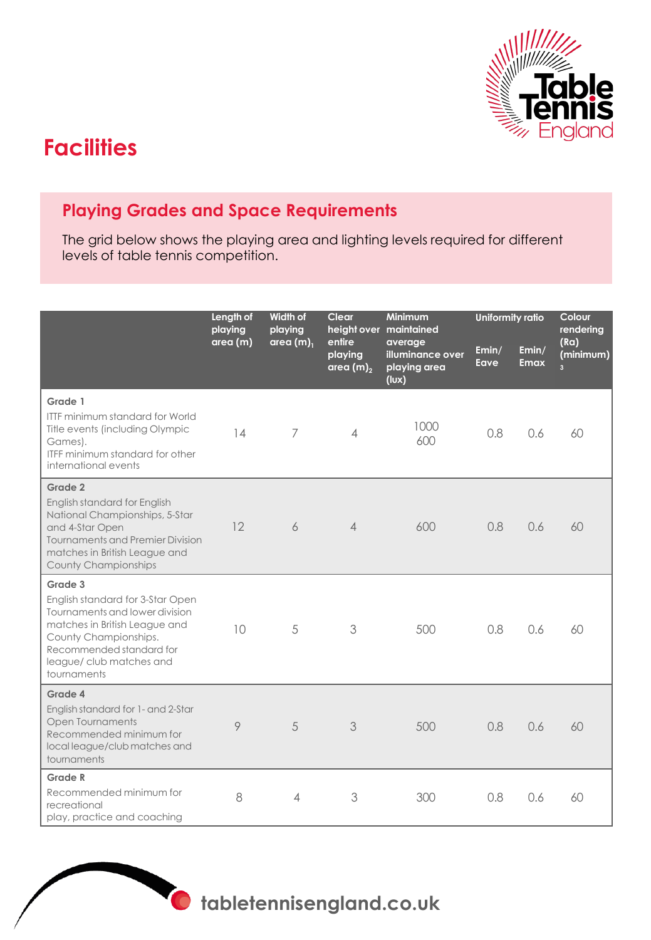

## **Facilities**

## **Playing Grades and Space Requirements**

The grid below shows the playing area and lighting levels required for different levels of table tennis competition.

|                                                                                                                                                                                                               | Length of<br>playing | Width of<br>playing<br>area $(m)$ <sub>1</sub> | Clear<br>entire<br>playing<br>area $(m)_2$ | <b>Minimum</b><br>height over maintained<br>average<br>illuminance over<br>playing area<br>(lux) | <b>Uniformity ratio</b> |                      | Colour<br>rendering                 |
|---------------------------------------------------------------------------------------------------------------------------------------------------------------------------------------------------------------|----------------------|------------------------------------------------|--------------------------------------------|--------------------------------------------------------------------------------------------------|-------------------------|----------------------|-------------------------------------|
|                                                                                                                                                                                                               | area(m)              |                                                |                                            |                                                                                                  | Emin/<br>Eave           | Emin/<br><b>Emax</b> | (Ra)<br>(minimum)<br>$\overline{3}$ |
| Grade 1<br><b>ITTF minimum standard for World</b><br>Title events (including Olympic<br>Games).<br><b>ITFF minimum standard for other</b><br>international events                                             | 14                   | 7                                              | $\overline{4}$                             | 1000<br>600                                                                                      | 0.8                     | 0.6                  | 60                                  |
| Grade 2<br>English standard for English<br>National Championships, 5-Star<br>and 4-Star Open<br><b>Tournaments and Premier Division</b><br>matches in British League and<br><b>County Championships</b>       | 12                   | 6                                              | $\overline{\mathcal{A}}$                   | 600                                                                                              | 0.8                     | 0.6                  | 60                                  |
| Grade 3<br>English standard for 3-Star Open<br>Tournaments and lower division<br>matches in British League and<br>County Championships.<br>Recommended standard for<br>league/club matches and<br>tournaments | 10                   | 5                                              | 3                                          | 500                                                                                              | 0.8                     | 0.6                  | 60                                  |
| Grade 4<br>English standard for 1- and 2-Star<br>Open Tournaments<br>Recommended minimum for<br>local league/club matches and<br>tournaments                                                                  | 9                    | 5                                              | 3                                          | 500                                                                                              | 0.8                     | 0.6                  | 60                                  |
| Grade R<br>Recommended minimum for<br>recreational<br>play, practice and coaching                                                                                                                             | 8                    | 4                                              | 3                                          | 300                                                                                              | 0.8                     | 0.6                  | 60                                  |